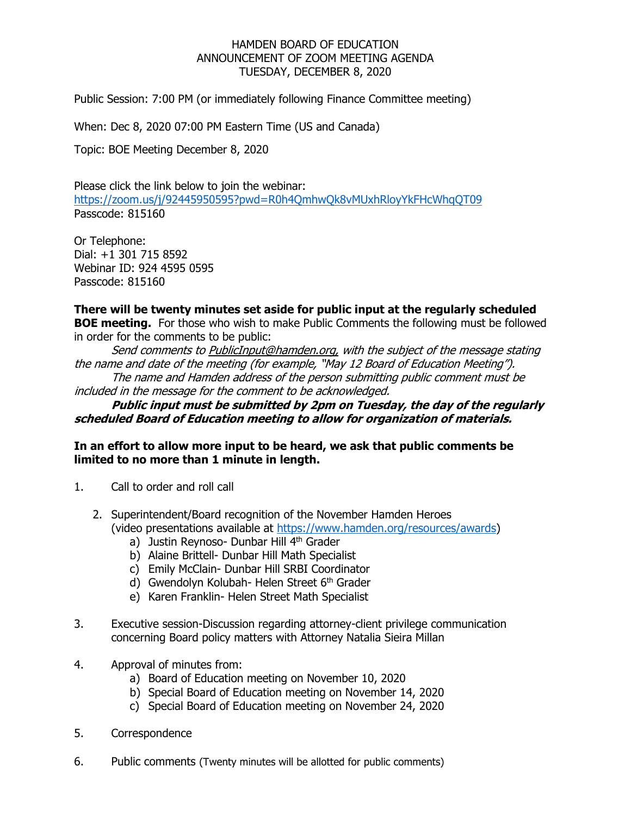## HAMDEN BOARD OF EDUCATION ANNOUNCEMENT OF ZOOM MEETING AGENDA TUESDAY, DECEMBER 8, 2020

Public Session: 7:00 PM (or immediately following Finance Committee meeting)

When: Dec 8, 2020 07:00 PM Eastern Time (US and Canada)

Topic: BOE Meeting December 8, 2020

Please click the link below to join the webinar: <https://zoom.us/j/92445950595?pwd=R0h4QmhwQk8vMUxhRloyYkFHcWhqQT09> Passcode: 815160

Or Telephone: Dial: +1 301 715 8592 Webinar ID: 924 4595 0595 Passcode: 815160

## **There will be twenty minutes set aside for public input at the regularly scheduled BOE meeting.** For those who wish to make Public Comments the following must be followed in order for the comments to be public:

Send comments to PublicInput@hamden.org, with the subject of the message stating the name and date of the meeting (for example, "May 12 Board of Education Meeting"). The name and Hamden address of the person submitting public comment must be included in the message for the comment to be acknowledged.

**Public input must be submitted by 2pm on Tuesday, the day of the regularly scheduled Board of Education meeting to allow for organization of materials.**

## **In an effort to allow more input to be heard, we ask that public comments be limited to no more than 1 minute in length.**

- 1. Call to order and roll call
	- 2. Superintendent/Board recognition of the November Hamden Heroes (video presentations available at [https://www.hamden.org/resources/awards\)](https://www.hamden.org/resources/awards)
		- a) Justin Reynoso- Dunbar Hill 4<sup>th</sup> Grader
		- b) Alaine Brittell- Dunbar Hill Math Specialist
		- c) Emily McClain- Dunbar Hill SRBI Coordinator
		- d) Gwendolyn Kolubah- Helen Street 6<sup>th</sup> Grader
		- e) Karen Franklin- Helen Street Math Specialist
- 3. Executive session-Discussion regarding attorney-client privilege communication concerning Board policy matters with Attorney Natalia Sieira Millan
- 4. Approval of minutes from:
	- a) Board of Education meeting on November 10, 2020
	- b) Special Board of Education meeting on November 14, 2020
	- c) Special Board of Education meeting on November 24, 2020
- 5. Correspondence
- 6. Public comments (Twenty minutes will be allotted for public comments)